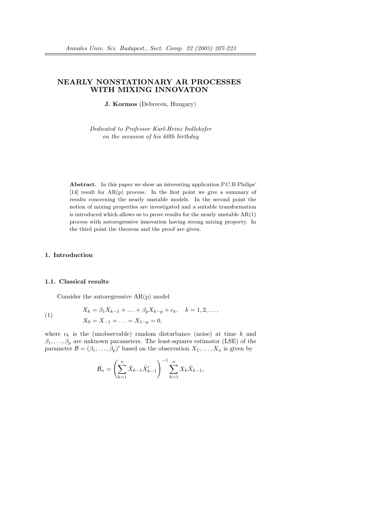# NEARLY NONSTATIONARY AR PROCESSES WITH MIXING INNOVATON

J. Kormos (Debrecen, Hungary)

Dedicated to Professor Karl-Heinz Indlekofer on the occasion of his 60th birthday

Abstract. In this paper we show an interesting application P.C.B Philips' [14] result for  $AR(p)$  process. In the first point we give a summary of results concerning the nearly unstable models. In the second point the notion of mixing properties are investigated and a suitable transformation is introduced which allows us to prove results for the nearly unstable  $AR(1)$ process with autoregressive innovation having strong mixing property. In the third point the theorem and the proof are given.

# 1. Introduction

## 1.1. Classical results

Consider the autoregressive AR(p) model

(1) 
$$
X_k = \beta_1 X_{k-1} + \ldots + \beta_p X_{k-p} + \epsilon_k, \quad k = 1, 2, \ldots,
$$

$$
X_0 = X_{-1} = \ldots = X_{1-p} = 0,
$$

where  $\epsilon_k$  is the (unobservable) random disturbance (noise) at time k and  $\beta_1, \ldots, \beta_p$  are unknown parameters. The least-squares estimator (LSE) of the parameter  $\mathcal{B} = (\beta_1, \ldots, \beta_p)'$  based on the observation  $X_1, \ldots, X_n$  is given by

$$
\hat{\mathcal{B}}_n = \left(\sum_{k=1}^n \tilde{X}_{k-1} \tilde{X}'_{k-1}\right)^{-1} \sum_{k=1}^n X_k \tilde{X}_{k-1},
$$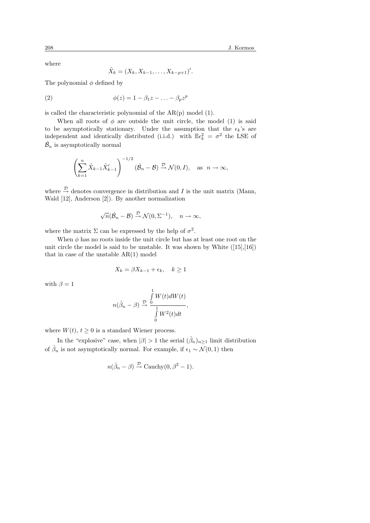where

$$
\tilde{X}_k = (X_k, X_{k-1}, \dots, X_{k-p+1})'.
$$

The polynomial  $\phi$  defined by

(2) 
$$
\phi(z) = 1 - \beta_1 z - \ldots - \beta_p z^p
$$

is called the characteristic polynomial of the  $AR(p)$  model  $(1)$ .

When all roots of  $\phi$  are outside the unit circle, the model (1) is said to be asymptotically stationary. Under the assumption that the  $\epsilon_k$ 's are independent and identically distributed (i.i.d.) with  $\mathbb{E}\epsilon_k^2 = \sigma^2$  the LSE of  $\hat{\mathcal{B}}_n$  is asymptotically normal

$$
\left(\sum_{k=1}^n \tilde{X}_{k-1} \tilde{X}'_{k-1}\right)^{-1/2} (\hat{\mathcal{B}}_n - \mathcal{B}) \xrightarrow{\mathcal{D}} \mathcal{N}(0, I), \text{ as } n \to \infty,
$$

where  $\stackrel{\mathcal{D}}{\rightarrow}$  denotes convergence in distribution and I is the unit matrix (Mann, Wald [12], Anderson [2]). By another normalization

$$
\sqrt{n}(\hat{\mathcal{B}}_n - \mathcal{B}) \xrightarrow{\mathcal{D}} \mathcal{N}(0, \Sigma^{-1}), \quad n \to \infty,
$$

where the matrix  $\Sigma$  can be expressed by the help of  $\sigma^2$ .

When  $\phi$  has no roots inside the unit circle but has at least one root on the unit circle the model is said to be unstable. It was shown by White  $([15],[16])$ that in case of the unstable  $AR(1)$  model

$$
X_k = \beta X_{k-1} + \epsilon_k, \quad k \ge 1
$$

with  $\beta = 1$ 

$$
n(\hat{\beta}_n-\beta)\overset{\mathcal{D}}{\rightarrow}\frac{\int\limits_0^1 W(t)dW(t)}{\int\limits_0^1 W^2(t)dt},
$$

where  $W(t)$ ,  $t \geq 0$  is a standard Wiener process.

In the "explosive" case, when  $|\beta| > 1$  the serial  $(\hat{\beta}_n)_{n \geq 1}$  limit distribution of  $\hat{\beta}_n$  is not asymptotically normal. For example, if  $\epsilon_1 \sim \mathcal{N}(0, 1)$  then

$$
n(\hat{\beta}_n - \beta) \stackrel{\mathcal{D}}{\rightarrow} \text{Cauchy}(0, \beta^2 - 1).
$$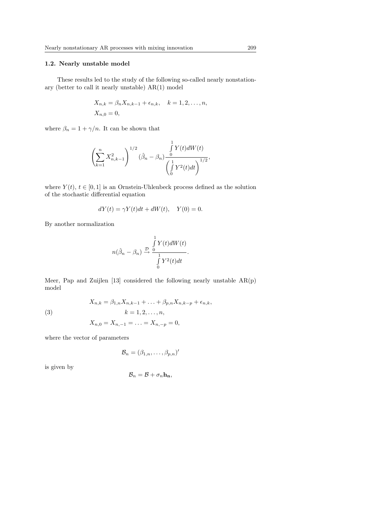## 1.2. Nearly unstable model

These results led to the study of the following so-called nearly nonstationary (better to call it nearly unstable) AR(1) model

$$
X_{n,k} = \beta_n X_{n,k-1} + \epsilon_{n,k}, \quad k = 1, 2, ..., n,
$$
  
 $X_{n,0} = 0,$ 

where  $\beta_n = 1 + \gamma/n$ . It can be shown that

$$
\left(\sum_{k=1}^{n} X_{n,k-1}^{2}\right)^{1/2}(\hat{\beta}_{n}-\beta_{n})\frac{\int\limits_{0}^{1} Y(t)dW(t)}{\left(\int\limits_{0}^{1} Y^{2}(t)dt\right)^{1/2}},
$$

where  $Y(t)$ ,  $t \in [0, 1]$  is an Ornstein-Uhlenbeck process defined as the solution of the stochastic differential equation

$$
dY(t) = \gamma Y(t)dt + dW(t), \quad Y(0) = 0.
$$

By another normalization

$$
n(\hat{\beta}_n-\beta_n)\stackrel{\mathcal{D}}{\rightarrow}\frac{\int\limits_0^1Y(t)dW(t)}{\int\limits_0^1Y^2(t)dt}.
$$

Meer, Pap and Zuijlen [13] considered the following nearly unstable  $AR(p)$ model

(3)  
\n
$$
X_{n,k} = \beta_{1,n} X_{n,k-1} + \ldots + \beta_{p,n} X_{n,k-p} + \epsilon_{n,k},
$$
\n
$$
k = 1, 2, \ldots, n,
$$
\n
$$
X_{n,0} = X_{n,-1} = \ldots = X_{n,-p} = 0,
$$

where the vector of parameters

$$
\mathcal{B}_n = (\beta_{1,n}, \ldots, \beta_{p,n})'
$$

is given by

$$
\mathcal{B}_n = \mathcal{B} + \sigma_n \mathbf{h_n},
$$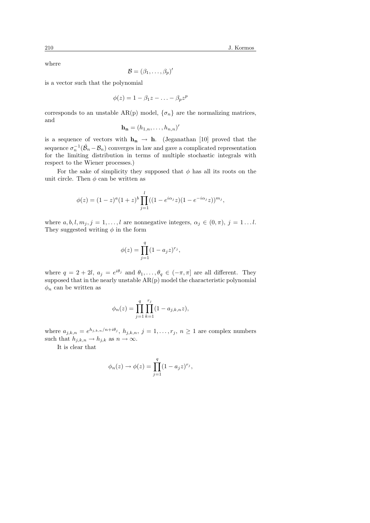where

$$
\mathcal{B}=(\beta_1,\ldots,\beta_p)'
$$

is a vector such that the polynomial

$$
\phi(z) = 1 - \beta_1 z - \ldots - \beta_p z^p
$$

corresponds to an unstable AR(p) model,  $\{\sigma_n\}$  are the normalizing matrices, and

$$
\mathbf{h}_{\mathbf{n}}=(h_{1,n},\ldots,h_{n,n})'
$$

is a sequence of vectors with  $h_n \to h$ . (Jeganathan [10] proved that the sequence  $\sigma_n^{-1}(\hat{\mathcal{B}}_n - \mathcal{B}_n)$  converges in law and gave a complicated representation for the limiting distribution in terms of multiple stochastic integrals with respect to the Wiener processes.)

For the sake of simplicity they supposed that  $\phi$  has all its roots on the unit circle. Then  $\phi$  can be written as

$$
\phi(z) = (1-z)^a (1+z)^b \prod_{j=1}^l ((1-e^{i\alpha_j}z)(1-e^{-i\alpha_j}z))^{m_j},
$$

where  $a, b, l, m_j, j = 1, \ldots, l$  are nonnegative integers,  $\alpha_j \in (0, \pi), j = 1 \ldots l$ . They suggested writing  $\phi$  in the form

$$
\phi(z) = \prod_{j=1}^{q} (1 - a_j z)^{r_j},
$$

where  $q = 2 + 2l$ ,  $a_j = e^{i\theta_j}$  and  $\theta_1, \ldots, \theta_q \in (-\pi, \pi]$  are all different. They supposed that in the nearly unstable  $AR(p)$  model the characteristic polynomial  $\phi_n$  can be written as

$$
\phi_n(z) = \prod_{j=1}^q \prod_{k=1}^{r_j} (1 - a_{j,k,n} z),
$$

where  $a_{j,k,n} = e^{h_{j,k,n}/n+i\theta_j}$ ,  $h_{j,k,n}$ ,  $j = 1, \ldots, r_j$ ,  $n \ge 1$  are complex numbers such that  $h_{j,k,n} \to h_{j,k}$  as  $n \to \infty$ .

It is clear that

$$
\phi_n(z) \to \phi(z) = \prod_{j=1}^q (1 - a_j z)^{r_j},
$$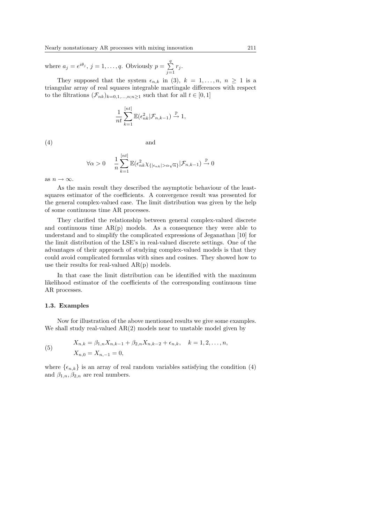where  $a_j = e^{i\theta_j}$ ,  $j = 1, ..., q$ . Obviously  $p = \sum^{q}$  $\sum_{j=1}^{\infty} r_j$ .

They supposed that the system  $\epsilon_{n,k}$  in (3),  $k = 1, \ldots, n, n \ge 1$  is a triangular array of real squares integrable martingale differences with respect to the filtrations  $(\mathcal{F}_{nk})_{k=0,1,\ldots,n;n>1}$  such that for all  $t \in [0,1]$ 

$$
\frac{1}{nt} \sum_{k=1}^{[nt]} \mathbb{E}(\epsilon_{nk}^2 | \mathcal{F}_{n,k-1}) \xrightarrow{\mathbb{P}} 1,
$$

 $(4)$  and

$$
\forall \alpha > 0 \quad \frac{1}{n} \sum_{k=1}^{[nt]} \mathbb{E}(\epsilon_{nk}^2 \chi_{\{|\epsilon_{nk}| > \alpha\sqrt{n}\}} | \mathcal{F}_{n,k-1}) \stackrel{\mathbb{P}}{\rightarrow} 0
$$

as  $n \to \infty$ .

As the main result they described the asymptotic behaviour of the leastsquares estimator of the coefficients. A convergence result was presented for the general complex-valued case. The limit distribution was given by the help of some continuous time AR processes.

They clarified the relationship between general complex-valued discrete and continuous time  $AR(p)$  models. As a consequence they were able to understand and to simplify the complicated expressions of Jeganathan [10] for the limit distribution of the LSE's in real-valued discrete settings. One of the advantages of their approach of studying complex-valued models is that they could avoid complicated formulas with sines and cosines. They showed how to use their results for real-valued  $AR(p)$  models.

In that case the limit distribution can be identified with the maximum likelihood estimator of the coefficients of the corresponding continuous time AR processes.

#### 1.3. Examples

Now for illustration of the above mentioned results we give some examples. We shall study real-valued  $AR(2)$  models near to unstable model given by

(5) 
$$
X_{n,k} = \beta_{1,n} X_{n,k-1} + \beta_{2,n} X_{n,k-2} + \epsilon_{n,k}, \quad k = 1, 2, ..., n,
$$

$$
X_{n,0} = X_{n,-1} = 0,
$$

where  $\{\epsilon_{n,k}\}\$ is an array of real random variables satisfying the condition (4) and  $\beta_{1,n}, \beta_{2,n}$  are real numbers.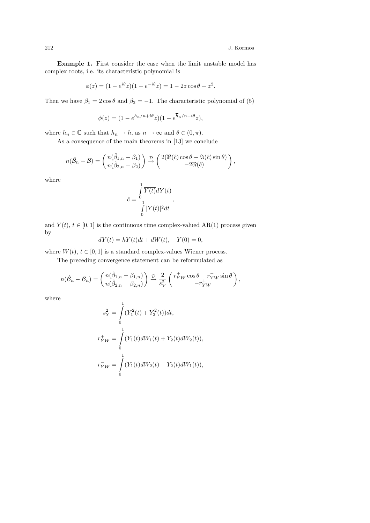Example 1. First consider the case when the limit unstable model has complex roots, i.e. its characteristic polynomial is

$$
\phi(z) = (1 - e^{i\theta} z)(1 - e^{-i\theta} z) = 1 - 2z \cos \theta + z^2.
$$

Then we have  $\beta_1 = 2 \cos \theta$  and  $\beta_2 = -1$ . The characteristic polynomial of (5)

$$
\phi(z) = (1 - e^{h_n/n + i\theta}z)(1 - e^{\overline{h}_n/n - i\theta}z),
$$

where  $h_n \in \mathbb{C}$  such that  $h_n \to h$ , as  $n \to \infty$  and  $\theta \in (0, \pi)$ .

As a consequence of the main theorems in [13] we conclude

$$
n(\hat{\mathcal{B}}_n - \mathcal{B}) = \begin{pmatrix} n(\hat{\beta}_{1,n} - \beta_1) \\ n(\hat{\beta}_{2,n} - \beta_2) \end{pmatrix} \stackrel{\mathcal{D}}{\rightarrow} \begin{pmatrix} 2(\Re(\hat{c})\cos\theta - \Im(\hat{c})\sin\theta) \\ -2\Re(\hat{c}) \end{pmatrix},
$$

where

$$
\hat{c} = \frac{\int\limits_{0}^{1} \overline{Y(t)} dY(t)}{\int\limits_{0}^{1} |Y(t)|^2 dt},
$$

and  $Y(t)$ ,  $t \in [0, 1]$  is the continuous time complex-valued AR(1) process given by

$$
dY(t) = hY(t)dt + dW(t), \quad Y(0) = 0,
$$

where  $W(t)$ ,  $t \in [0, 1]$  is a standard complex-values Wiener process.

The preceding convergence statement can be reformulated as

$$
n(\hat{\mathcal{B}}_n - \mathcal{B}_n) = {n(\hat{\beta}_{1,n} - \beta_{1,n}) \choose n(\hat{\beta}_{2,n} - \beta_{2,n})} \supseteq \frac{2}{s_Y^2} {r_{YW}^+ \cos \theta - r_{YW}^- \sin \theta \choose -r_{YW}^+}
$$

where

$$
s_Y^2 = \int_0^1 (Y_1^2(t) + Y_2^2(t))dt,
$$
  
\n
$$
r_{YW}^+ = \int_0^1 (Y_1(t)dW_1(t) + Y_2(t)dW_2(t)),
$$
  
\n
$$
r_{YW}^- = \int_0^1 (Y_1(t)dW_2(t) - Y_2(t)dW_1(t)),
$$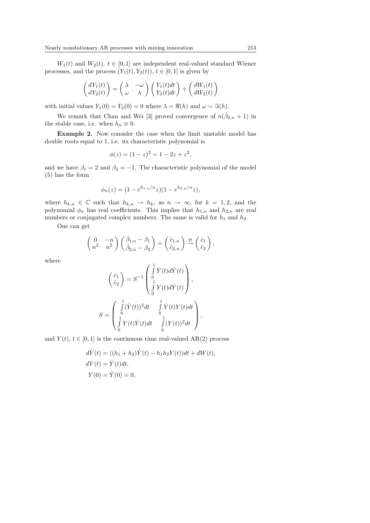$W_1(t)$  and  $W_2(t)$ ,  $t \in [0,1]$  are independent real-valued standard Wiener processes, and the process  $(Y_1(t), Y_2(t))$ ,  $t \in [0, 1]$  is given by

$$
\begin{pmatrix} dY_1(t) \\ dY_2(t) \end{pmatrix} = \begin{pmatrix} \lambda & -\omega \\ \omega & \lambda \end{pmatrix} \begin{pmatrix} Y_1(t)dt \\ Y_2(t)dt \end{pmatrix} + \begin{pmatrix} dW_1(t) \\ dW_2(t) \end{pmatrix}
$$

with initial values  $Y_1(0) = Y_2(0) = 0$  where  $\lambda = \Re(h)$  and  $\omega = \Im(h)$ .

We remark that Chan and Wei [3] proved convergence of  $n(\hat{\beta}_{2,n} + 1)$  in the stable case, i.e. when  $h_n \equiv 0$ .

Example 2. Now consider the case when the limit unstable model has double roots equal to 1, i.e. its characteristic polynomial is

$$
\phi(z) = (1 - z)^2 = 1 - 2z + z^2,
$$

and we have  $\beta_1 = 2$  and  $\beta_2 = -1$ . The characteristic polynomial of the model (5) has the form

$$
\phi_n(z) = (1 - e^{h_{1,n}/n}z)(1 - e^{h_{2,n}/n}z),
$$

where  $h_{k,n} \in \mathbb{C}$  such that  $h_{k,n} \to h_k$ , as  $n \to \infty$ , for  $k = 1, 2$ , and the polynomial  $\phi_n$  has real coefficients. This implies that  $h_{1,n}$  and  $h_{2,n}$  are real numbers or conjugated complex numbers. The same is valid for  $h_1$  and  $h_2$ .

One can get

$$
\begin{pmatrix} 0 & -n \\ n^2 & n^2 \end{pmatrix} \begin{pmatrix} \hat{\beta}_{1,n} - \beta_1 \\ \hat{\beta}_{2,n} - \beta_2 \end{pmatrix} = \begin{pmatrix} \hat{c}_{1,n} \\ \hat{c}_{2,n} \end{pmatrix} \stackrel{\mathcal{D}}{\rightarrow} \begin{pmatrix} \hat{c}_1 \\ \hat{c}_2 \end{pmatrix},
$$

where

$$
\begin{pmatrix}\n\hat{c}_1 \\
\hat{c}_2\n\end{pmatrix} = S^{-1} \begin{pmatrix}\n\int_0^1 \dot{Y}(t) d\dot{Y}(t) \\
\int_0^1 Y(t) d\dot{Y}(t)\n\end{pmatrix},
$$
\n
$$
S = \begin{pmatrix}\n\int_0^1 (\dot{Y}(t))^2 dt & \int_0^1 \dot{Y}(t) Y(t) dt \\
\int_0^1 Y(t) \dot{Y}(t) dt & \int_0^1 (Y(t))^2 dt\n\end{pmatrix},
$$

and  $Y(t)$ ,  $t \in [0, 1]$  is the continuous time real-valued AR(2) process

$$
d\dot{Y}(t) = ((h_1 + h_2)\dot{Y}(t) - h_1h_2Y(t))dt + dW(t),
$$
  
\n
$$
dY(t) = \dot{Y}(t)dt,
$$
  
\n
$$
Y(0) = \dot{Y}(0) = 0,
$$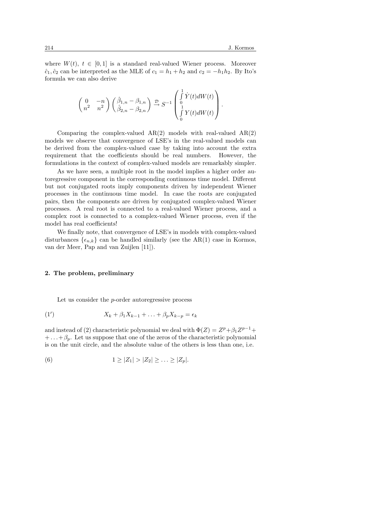where  $W(t)$ ,  $t \in [0,1]$  is a standard real-valued Wiener process. Moreover  $\hat{c}_1, \hat{c}_2$  can be interpreted as the MLE of  $c_1 = h_1 + h_2$  and  $c_2 = -h_1h_2$ . By Ito's formula we can also derive

$$
\begin{pmatrix} 0 & -n \\ n^2 & n^2 \end{pmatrix} \begin{pmatrix} \hat\beta_{1,n} - \beta_{1,n} \\ \hat\beta_{2,n} - \beta_{2,n} \end{pmatrix} \xrightarrow{\mathcal{D}} S^{-1} \begin{pmatrix} \int_0^1 \dot{Y}(t) dW(t) \\ 0 \\ \int_0^1 Y(t) dW(t) \end{pmatrix}.
$$

Comparing the complex-valued  $AR(2)$  models with real-valued  $AR(2)$ models we observe that convergence of LSE's in the real-valued models can be derived from the complex-valued case by taking into account the extra requirement that the coefficients should be real numbers. However, the formulations in the context of complex-valued models are remarkably simpler.

As we have seen, a multiple root in the model implies a higher order autoregressive component in the corresponding continuous time model. Different but not conjugated roots imply components driven by independent Wiener processes in the continuous time model. In case the roots are conjugated pairs, then the components are driven by conjugated complex-valued Wiener processes. A real root is connected to a real-valued Wiener process, and a complex root is connected to a complex-valued Wiener process, even if the model has real coefficients!

We finally note, that convergence of LSE's in models with complex-valued disturbances  $\{\epsilon_{n,k}\}\$ can be handled similarly (see the AR(1) case in Kormos, van der Meer, Pap and van Zuijlen [11]).

## 2. The problem, preliminary

Let us consider the p-order autoregressive process

$$
(1') \qquad \qquad X_k + \beta_1 X_{k-1} + \ldots + \beta_p X_{k-p} = \epsilon_k
$$

and instead of (2) characteristic polynomial we deal with  $\Phi(Z) = Z^p + \beta_1 Z^{p-1} +$  $+ \ldots + \beta_p$ . Let us suppose that one of the zeros of the characteristic polynomial is on the unit circle, and the absolute value of the others is less than one, i.e.

(6) 
$$
1 \ge |Z_1| > |Z_2| \ge \ldots \ge |Z_p|.
$$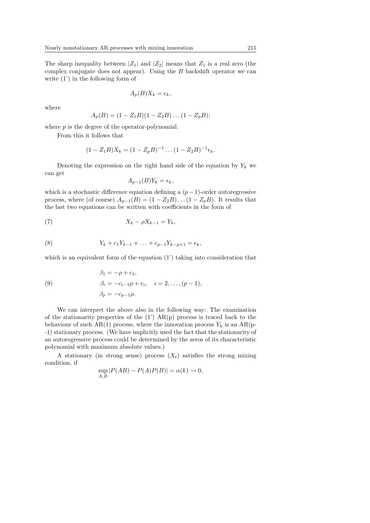The sharp inequality between  $|Z_1|$  and  $|Z_2|$  means that  $Z_1$  is a real zero (the complex conjugate does not appear). Using the  $B$  backshift operator we can write (1') in the following form of

$$
A_p(B)X_k = \epsilon_k,
$$

where

$$
A_p(B) = (1 - Z_1B)(1 - Z_2B) \dots (1 - Z_pB);
$$

where  $p$  is the degree of the operator-polynomial.

From this it follows that

$$
(1 - Z_1B)X_k = (1 - Z_pB)^{-1} \dots (1 - Z_2B)^{-1} \epsilon_k.
$$

Denoting the expression on the right hand side of the equation by  $Y_k$  we can get

$$
A_{p-1}(B)Y_k = \epsilon_k,
$$

which is a stochastic difference equation defining a  $(p-1)$ -order autoregressive process, where (of course)  $A_{p-1}(B) = (1 - Z_2B) \dots (1 - Z_pB)$ . It results that the last two equations can be written with coefficients in the form of

$$
(7) \t\t X_k - \rho X_{k-1} = Y_k,
$$

(8) 
$$
Y_k + c_1 Y_{k-1} + \ldots + c_{p-1} Y_{k-p+1} = \epsilon_k,
$$

which is an equivalent form of the equation  $(1')$  taking into consideration that

(9) 
$$
\beta_1 = -\rho + c_1, \n\beta_i = -c_{i-1}\rho + c_i, \quad i = 2, ..., (p-1), \n\beta_p = -c_{p-1}\rho.
$$

We can interpret the above also in the following way: The examination of the stationarity properties of the  $(1')$  AR(p) process is traced back to the behaviour of such AR(1) process, where the innovation process  $Y_k$  is an AR(p--1) stationary process. (We have implicitly used the fact that the stationarity of an autoregressive process could be determined by the zeros of its characteristic polynomial with maximum absolute values.)

A stationary (in strong sense) process  $(X_t)$  satisfies the strong mixing condition, if

$$
\sup_{A,B} |P(AB) - P(A)P(B)| = \alpha(k) \to 0,
$$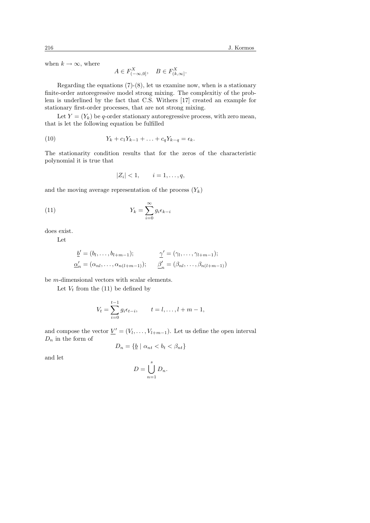when  $k \to \infty$ , where

$$
A \in F_{(-\infty,0]}^X, \quad B \in F_{(k,\infty]}^X.
$$

Regarding the equations  $(7)-(8)$ , let us examine now, when is a stationary finite-order autoregressive model strong mixing. The complexitiy of the problem is underlined by the fact that C.S. Withers [17] created an example for stationary first-order processes, that are not strong mixing.

Let  $Y = (Y_k)$  be q-order stationary autoregressive process, with zero mean, that is let the following equation be fulfilled

(10) 
$$
Y_k + c_1 Y_{k-1} + \ldots + c_q Y_{k-q} = \epsilon_k.
$$

The stationarity condition results that for the zeros of the characteristic polynomial it is true that

$$
|Z_i| < 1, \qquad i = 1, \ldots, q,
$$

and the moving average representation of the process  $(Y_k)$ 

(11) 
$$
Y_k = \sum_{i=0}^{\infty} g_i \epsilon_{k-i}
$$

does exist.

Let

$$
\underline{b}' = (b_l, \dots, b_{l+m-1}); \qquad \underline{\gamma}' = (\gamma_l, \dots, \gamma_{l+m-1});
$$
  

$$
\underline{\alpha}'_n = (\alpha_{nl}, \dots, \alpha_{n(l+m-1)}); \qquad \underline{\beta}'_n = (\beta_{nl}, \dots, \beta_{n(l+m-1)})
$$

be m-dimensional vectors with scalar elements.

Let  $V_t$  from the (11) be defined by

$$
V_t = \sum_{i=0}^{t-1} g_i \epsilon_{t-i}, \qquad t = l, \dots, l+m-1,
$$

and compose the vector  $\underline{V}' = (V_1, \ldots, V_{l+m-1})$ . Let us define the open interval  $D_n$  in the form of

$$
D_n = \{ \underline{b} \mid \alpha_{nt} < b_t < \beta_{nt} \}
$$

and let

$$
D=\bigcup_{n=1}^s D_n.
$$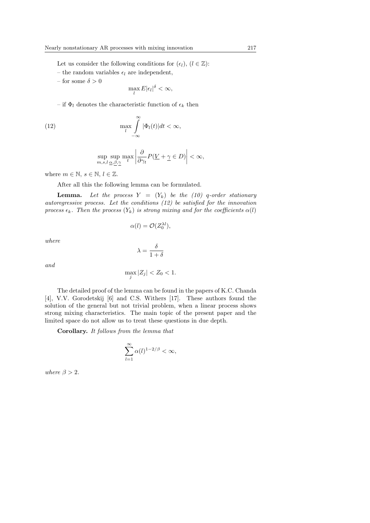Let us consider the following conditions for  $(\epsilon_l), (l \in \mathbb{Z})$ :

- the random variables  $\epsilon_l$  are independent,
- for some  $\delta > 0$

$$
\max_{l} E|\epsilon_l|^\delta < \infty,
$$

– if  $\Phi_l$  denotes the characteristic function of  $\epsilon_k$  then

(12) 
$$
\max_{l} \int_{-\infty}^{\infty} |\Phi_l(t)| dt < \infty,
$$

$$
\sup_{m,s,l}\sup_{\underline{\alpha},\underline{\beta},\underline{\gamma}}\max_t \bigg|\frac{\partial}{\partial \gamma_t}P(\underline{V}+\underline{\gamma}\in D)\bigg|<\infty,
$$

where  $m \in \mathbb{N}, s \in \mathbb{N}, l \in \mathbb{Z}$ .

After all this the following lemma can be formulated.

**Lemma.** Let the process  $Y = (Y_k)$  be the (10) q-order stationary autoregressive process. Let the conditions (12) be satisfied for the innovation process  $\epsilon_k$ . Then the process  $(Y_k)$  is strong mixing and for the coefficients  $\alpha(l)$ 

$$
\alpha(l) = \mathcal{O}(Z_0^{\lambda l}),
$$

where

$$
\lambda = \frac{\delta}{1+\delta}
$$

and

$$
\max_j |Z_j| < Z_0 < 1.
$$

The detailed proof of the lemma can be found in the papers of K.C. Chanda [4], V.V. Gorodetskij [6] and C.S. Withers [17]. These authors found the solution of the general but not trivial problem, when a linear process shows strong mixing characteristics. The main topic of the present paper and the limited space do not allow us to treat these questions in due depth.

Corollary. It follows from the lemma that

$$
\sum_{l=1}^{\infty} \alpha(l)^{1-2/\beta} < \infty,
$$

where  $\beta > 2$ .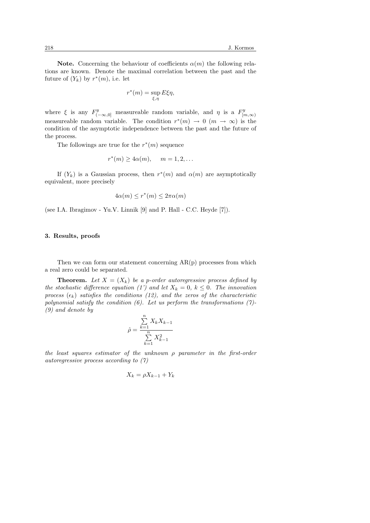**Note.** Concerning the behaviour of coefficients  $\alpha(m)$  the following relations are known. Denote the maximal correlation between the past and the future of  $(Y_k)$  by  $r^*(m)$ , i.e. let

$$
r^*(m) = \sup_{\xi,\eta} E\xi\eta,
$$

where  $\xi$  is any  $F^y_{(-\infty,0]}$  measureable random variable, and  $\eta$  is a  $F^y_{[r]}$  $[m,\infty)$ measureable random variable. The condition  $r^*(m) \to 0$   $(m \to \infty)$  is the condition of the asymptotic independence between the past and the future of the process.

The followings are true for the  $r^*(m)$  sequence

$$
r^*(m) \ge 4\alpha(m), \quad m = 1, 2, \dots
$$

If  $(Y_k)$  is a Gaussian process, then  $r^*(m)$  and  $\alpha(m)$  are asymptotically equivalent, more precisely

$$
4\alpha(m) \le r^*(m) \le 2\pi\alpha(m)
$$

(see I.A. Ibragimov - Yu.V. Linnik [9] and P. Hall - C.C. Heyde [7]).

#### 3. Results, proofs

Then we can form our statement concerning  $AR(p)$  processes from which a real zero could be separated.

**Theorem.** Let  $X = (X_k)$  be a p-order autoregressive process defined by the stochastic difference equation (1') and let  $X_k = 0, k \leq 0$ . The innovation process  $(\epsilon_k)$  satisfies the conditions (12), and the zeros of the characteristic polynomial satisfy the condition  $(6)$ . Let us perform the transformations  $(7)$ -(9) and denote by

$$
\hat{\rho} = \frac{\sum_{k=1}^{n} X_k X_{k-1}}{\sum_{k=1}^{n} X_{k-1}^2}
$$

the least squares estimator of the unknown  $\rho$  parameter in the first-order autoregressive process according to (7)

$$
X_k = \rho X_{k-1} + Y_k
$$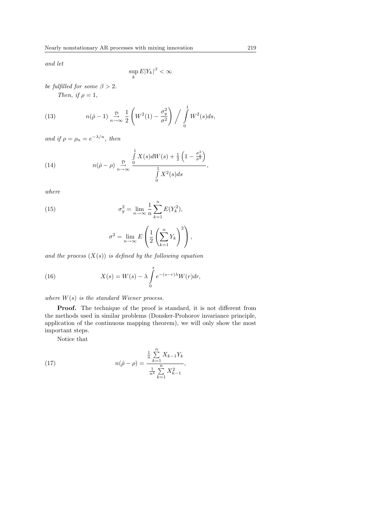and let

$$
\sup_k E|Y_k|^{\beta} < \infty
$$

be fulfilled for some  $\beta > 2$ . Then, if  $\rho = 1$ ,

(13) 
$$
n(\hat{\rho}-1) \underset{n \to \infty}{\overset{D}{\to}} \frac{1}{2} \left( W^2(1) - \frac{\sigma_y^2}{\sigma^2} \right) / \int_0^1 W^2(s) ds,
$$

and if  $\rho = \rho_n = e^{-\lambda/n}$ , then

(14) 
$$
n(\hat{\rho} - \rho) \underset{n \to \infty}{\overset{D}{\longrightarrow}} \frac{\int_{0}^{1} X(s) dW(s) + \frac{1}{2} \left(1 - \frac{\sigma_y^2}{\sigma^2}\right)}{\int_{0}^{1} X^2(s) ds},
$$

where

(15) 
$$
\sigma_y^2 = \lim_{n \to \infty} \frac{1}{n} \sum_{k=1}^n E(Y_k^2),
$$

$$
\sigma^{2} = \lim_{n \to \infty} E\left(\frac{1}{2}\left(\sum_{k=1}^{n} Y_{k}\right)^{2}\right),
$$

and the process  $(X(s))$  is defined by the following equation

(16) 
$$
X(s) = W(s) - \lambda \int_{0}^{s} e^{-(s-r)\lambda} W(r) dr,
$$

where  $W(s)$  is the standard Wiener process.

Proof. The technique of the proof is standard, it is not different from the methods used in similar problems (Donsker-Prohorov invariance principle, application of the continuous mapping theorem), we will only show the most important steps.

Notice that

(17) 
$$
n(\hat{\rho} - \rho) = \frac{\frac{1}{n} \sum_{k=1}^{n} X_{k-1} Y_k}{\frac{1}{n^2} \sum_{k=1}^{n} X_{k-1}^2},
$$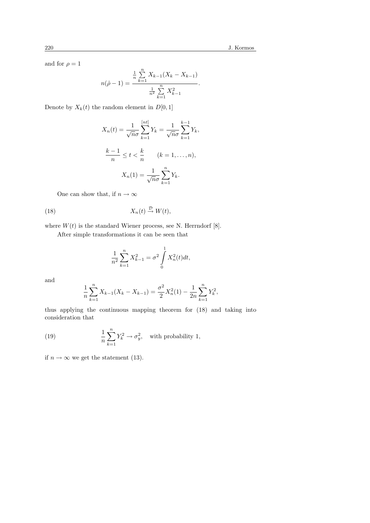and for  $\rho = 1$ 

$$
n(\hat{\rho} - 1) = \frac{\frac{1}{n} \sum_{k=1}^{n} X_{k-1} (X_k - X_{k-1})}{\frac{1}{n^2} \sum_{k=1}^{n} X_{k-1}^2}.
$$

Denote by  $X_k(t)$  the random element in  $D[0, 1]$ 

$$
X_n(t) = \frac{1}{\sqrt{n}\sigma} \sum_{k=1}^{\lfloor nt \rfloor} Y_k = \frac{1}{\sqrt{n}\sigma} \sum_{k=1}^{k-1} Y_k,
$$
  

$$
\frac{k-1}{n} \le t < \frac{k}{n} \qquad (k = 1, \dots, n),
$$
  

$$
X_n(1) = \frac{1}{\sqrt{n}\sigma} \sum_{k=1}^n Y_k.
$$

One can show that, if  $n\to\infty$ 

(18) 
$$
X_n(t) \stackrel{\mathcal{D}}{\rightarrow} W(t),
$$

where  $W(t)$  is the standard Wiener process, see N. Herrndorf [8].

After simple transformations it can be seen that

$$
\frac{1}{n^2} \sum_{k=1}^n X_{k-1}^2 = \sigma^2 \int_0^1 X_n^2(t) dt,
$$

and

$$
\frac{1}{n}\sum_{k=1}^{n}X_{k-1}(X_{k}-X_{k-1})=\frac{\sigma^{2}}{2}X_{n}^{2}(1)-\frac{1}{2n}\sum_{k=1}^{n}Y_{k}^{2},
$$

thus applying the continuous mapping theorem for (18) and taking into consideration that

(19) 
$$
\frac{1}{n}\sum_{k=1}^{n}Y_k^2 \to \sigma_y^2, \text{ with probability 1,}
$$

if  $n \to \infty$  we get the statement (13).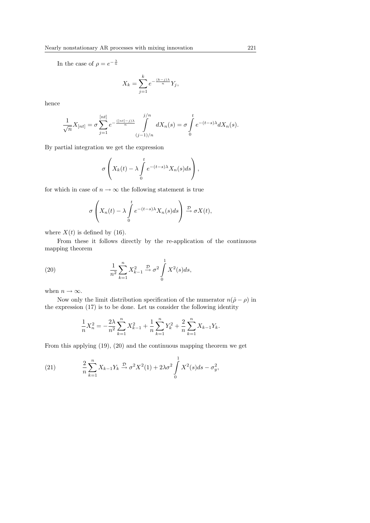In the case of  $\rho = e^{-\frac{\lambda}{n}}$ 

$$
X_k = \sum_{j=1}^k e^{-\frac{(k-j)\lambda}{n}} Y_j,
$$

hence

$$
\frac{1}{\sqrt{n}}X_{[nt]} = \sigma \sum_{j=1}^{[nt]} e^{-\frac{([nt]-j)\lambda}{n}} \int_{(j-1)/n}^{j/n} dX_n(s) = \sigma \int_0^t e^{-(t-s)\lambda} dX_n(s).
$$

By partial integration we get the expression

$$
\sigma\left(X_k(t) - \lambda \int\limits_0^t e^{-(t-s)\lambda} X_n(s) ds\right),\,
$$

for which in case of  $n \to \infty$  the following statement is true

$$
\sigma\left(X_n(t) - \lambda \int\limits_0^t e^{-(t-s)\lambda} X_n(s) ds\right) \xrightarrow{\mathcal{D}} \sigma X(t),
$$

where  $X(t)$  is defined by (16).

From these it follows directly by the re-application of the continuous mapping theorem

(20) 
$$
\frac{1}{n^2} \sum_{k=1}^n X_{k-1}^2 \xrightarrow{D} \sigma^2 \int_0^1 X^2(s) ds,
$$

when  $n \to \infty$ .

Now only the limit distribution specification of the numerator  $n(\hat{\rho} - \rho)$  in the expression (17) is to be done. Let us consider the following identity

$$
\frac{1}{n}X_n^2 = -\frac{2\lambda}{n^2}\sum_{k=1}^n X_{k-1}^2 + \frac{1}{n}\sum_{k=1}^n Y_k^2 + \frac{2}{n}\sum_{k=1}^n X_{k-1}Y_k.
$$

From this applying (19), (20) and the continuous mapping theorem we get

(21) 
$$
\frac{2}{n}\sum_{k=1}^{n}X_{k-1}Y_k \xrightarrow{\mathcal{D}} \sigma^2 X^2(1) + 2\lambda \sigma^2 \int_{0}^{1} X^2(s)ds - \sigma_y^2,
$$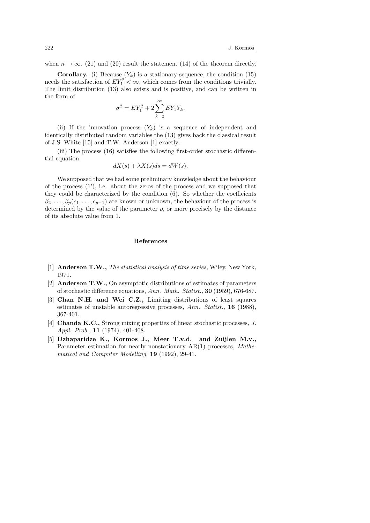when  $n \to \infty$ . (21) and (20) result the statement (14) of the theorem directly.

**Corollary.** (i) Because  $(Y_k)$  is a stationary sequence, the condition (15) needs the satisfaction of  $EY_1^2 < \infty$ , which comes from the conditions trivially. The limit distribution (13) also exists and is positive, and can be written in the form of

$$
\sigma^{2} = EY_{1}^{2} + 2\sum_{k=2}^{\infty} EY_{1}Y_{k}.
$$

(ii) If the innovation process  $(Y_k)$  is a sequence of independent and identically distributed random variables the (13) gives back the classical result of J.S. White [15] and T.W. Anderson [1] exactly.

(iii) The process (16) satisfies the following first-order stochastic differential equation

$$
dX(s) + \lambda X(s)ds = dW(s).
$$

We supposed that we had some preliminary knowledge about the behaviour of the process  $(1')$ , i.e. about the zeros of the process and we supposed that they could be characterized by the condition  $(6)$ . So whether the coefficients  $\beta_2, \ldots, \beta_p(c_1, \ldots, c_{p-1})$  are known or unknown, the behaviour of the process is determined by the value of the parameter  $\rho$ , or more precisely by the distance of its absolute value from 1.

#### References

- [1] **Anderson T.W.,** The statistical analysis of time series, Wiley, New York, 1971.
- [2] **Anderson T.W.,** On asymptotic distributions of estimates of parameters of stochastic difference equations, Ann. Math. Statist., 30 (1959), 676-687.
- [3] Chan N.H. and Wei C.Z., Limiting distributions of least squares estimates of unstable autoregressive processes, Ann. Statist.,  $16$  (1988), 367-401.
- [4] Chanda K.C., Strong mixing properties of linear stochastic processes, J. Appl. Prob., 11 (1974), 401-408.
- [5] Dzhaparidze K., Kormos J., Meer T.v.d. and Zuijlen M.v., Parameter estimation for nearly nonstationary AR(1) processes, Mathematical and Computer Modelling, 19 (1992), 29-41.